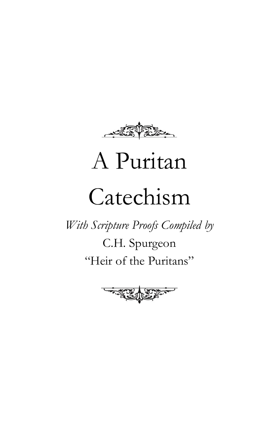

# A Puritan

# Catechism

*With Scripture Proofs Compiled by*

C.H. Spurgeon "Heir of the Puritans"

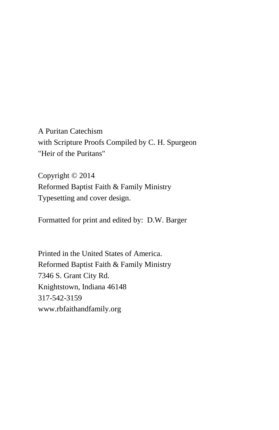A Puritan Catechism with Scripture Proofs Compiled by C. H. Spurgeon "Heir of the Puritans"

Copyright © 2014 Reformed Baptist Faith & Family Ministry Typesetting and cover design.

Formatted for print and edited by: D.W. Barger

Printed in the United States of America. Reformed Baptist Faith & Family Ministry 7346 S. Grant City Rd. Knightstown, Indiana 46148 317-542-3159 www.rbfaithandfamily.org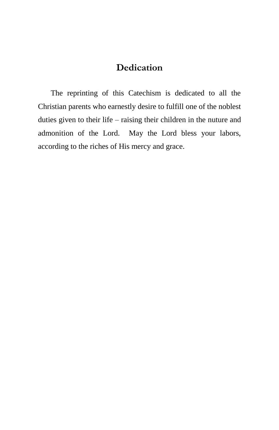## **Dedication**

The reprinting of this Catechism is dedicated to all the Christian parents who earnestly desire to fulfill one of the noblest duties given to their life – raising their children in the nuture and admonition of the Lord. May the Lord bless your labors, according to the riches of His mercy and grace.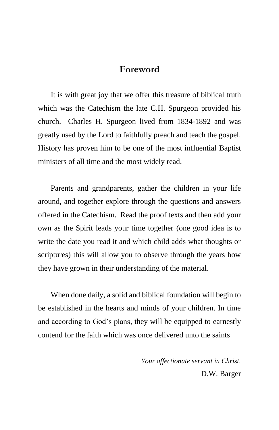#### **Foreword**

It is with great joy that we offer this treasure of biblical truth which was the Catechism the late C.H. Spurgeon provided his church. Charles H. Spurgeon lived from 1834-1892 and was greatly used by the Lord to faithfully preach and teach the gospel. History has proven him to be one of the most influential Baptist ministers of all time and the most widely read.

Parents and grandparents, gather the children in your life around, and together explore through the questions and answers offered in the Catechism. Read the proof texts and then add your own as the Spirit leads your time together (one good idea is to write the date you read it and which child adds what thoughts or scriptures) this will allow you to observe through the years how they have grown in their understanding of the material.

When done daily, a solid and biblical foundation will begin to be established in the hearts and minds of your children. In time and according to God's plans, they will be equipped to earnestly contend for the faith which was once delivered unto the saints

> *Your affectionate servant in Christ,* D.W. Barger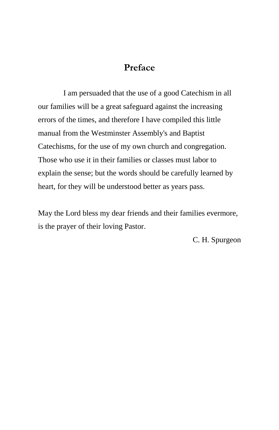#### **Preface**

I am persuaded that the use of a good Catechism in all our families will be a great safeguard against the increasing errors of the times, and therefore I have compiled this little manual from the Westminster Assembly's and Baptist Catechisms, for the use of my own church and congregation. Those who use it in their families or classes must labor to explain the sense; but the words should be carefully learned by heart, for they will be understood better as years pass.

May the Lord bless my dear friends and their families evermore, is the prayer of their loving Pastor.

C. H. Spurgeon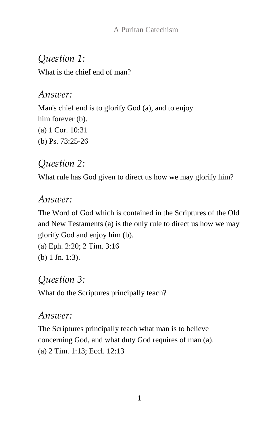# *Question 1:*

What is the chief end of man?

## *Answer:*

Man's chief end is to glorify God (a), and to enjoy him forever (b). (a) 1 Cor. 10:31 (b) Ps. 73:25-26

# *Question 2:*

What rule has God given to direct us how we may glorify him?

## *Answer:*

The Word of God which is contained in the Scriptures of the Old and New Testaments (a) is the only rule to direct us how we may glorify God and enjoy him (b).

```
(a) Eph. 2:20; 2 Tim. 3:16
(b) 1 Jn. 1:3).
```
# *Question 3:*

What do the Scriptures principally teach?

## *Answer:*

The Scriptures principally teach what man is to believe concerning God, and what duty God requires of man (a). (a) 2 Tim. 1:13; Eccl. 12:13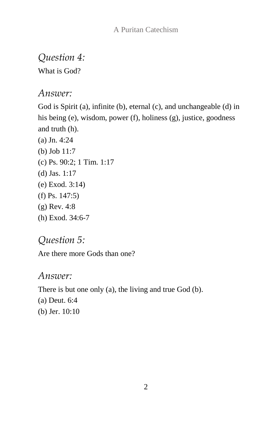*Question 4:*

What is God?

*Answer:*

God is Spirit (a), infinite (b), eternal (c), and unchangeable (d) in his being (e), wisdom, power (f), holiness (g), justice, goodness and truth (h).

(a) Jn. 4:24 (b) Job 11:7 (c) Ps. 90:2; 1 Tim. 1:17 (d) Jas. 1:17 (e) Exod. 3:14) (f) Ps. 147:5) (g) Rev. 4:8 (h) Exod. 34:6-7

*Question 5:*

Are there more Gods than one?

*Answer:*

There is but one only (a), the living and true God (b).

(a) Deut. 6:4

(b) Jer. 10:10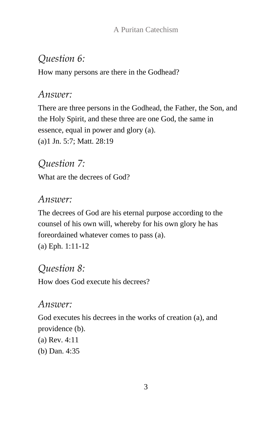# *Question 6:*

How many persons are there in the Godhead?

## *Answer:*

There are three persons in the Godhead, the Father, the Son, and the Holy Spirit, and these three are one God, the same in essence, equal in power and glory (a). (a)1 Jn. 5:7; Matt. 28:19

# *Question 7:*

What are the decrees of God?

# *Answer:*

The decrees of God are his eternal purpose according to the counsel of his own will, whereby for his own glory he has foreordained whatever comes to pass (a). (a) Eph. 1:11-12

## *Question 8:*

How does God execute his decrees?

## *Answer:*

God executes his decrees in the works of creation (a), and providence (b).

- (a) Rev. 4:11
- (b) Dan. 4:35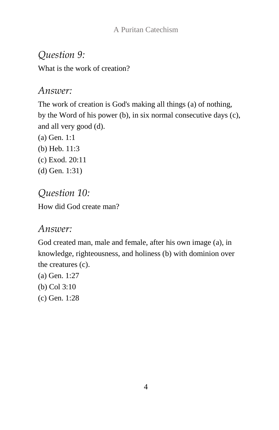# *Question 9:*

What is the work of creation?

#### *Answer:*

The work of creation is God's making all things (a) of nothing, by the Word of his power (b), in six normal consecutive days (c), and all very good (d).

(a) Gen. 1:1 (b) Heb. 11:3 (c) Exod. 20:11 (d) Gen. 1:31)

# *Question 10:* How did God create man?

# *Answer:*

God created man, male and female, after his own image (a), in knowledge, righteousness, and holiness (b) with dominion over the creatures (c).

- (a) Gen. 1:27
- (b) Col 3:10
- (c) Gen. 1:28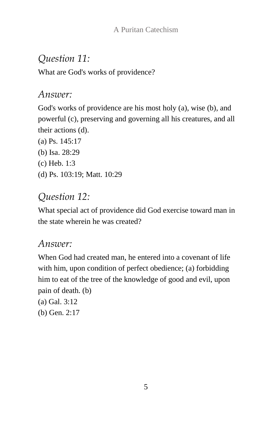# *Question 11:*

What are God's works of providence?

## *Answer:*

God's works of providence are his most holy (a), wise (b), and powerful (c), preserving and governing all his creatures, and all their actions (d).

(a) Ps. 145:17 (b) Isa. 28:29 (c) Heb. 1:3 (d) Ps. 103:19; Matt. 10:29

# *Question 12:*

What special act of providence did God exercise toward man in the state wherein he was created?

# *Answer:*

When God had created man, he entered into a covenant of life with him, upon condition of perfect obedience; (a) forbidding him to eat of the tree of the knowledge of good and evil, upon pain of death. (b)

(a) Gal. 3:12 (b) Gen. 2:17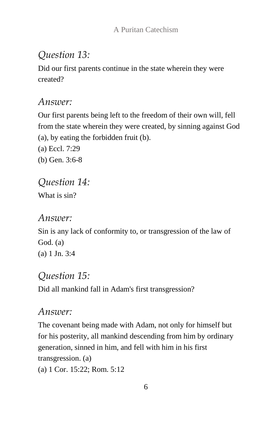## *Question 13:*

Did our first parents continue in the state wherein they were created?

#### *Answer:*

Our first parents being left to the freedom of their own will, fell from the state wherein they were created, by sinning against God (a), by eating the forbidden fruit (b).

(a) Eccl. 7:29 (b) Gen. 3:6-8

# *Question 14:*

What is sin?

#### *Answer:*

Sin is any lack of conformity to, or transgression of the law of God. (a) (a) 1 Jn. 3:4

## *Question 15:*

Did all mankind fall in Adam's first transgression?

#### *Answer:*

The covenant being made with Adam, not only for himself but for his posterity, all mankind descending from him by ordinary generation, sinned in him, and fell with him in his first transgression. (a)

(a) 1 Cor. 15:22; Rom. 5:12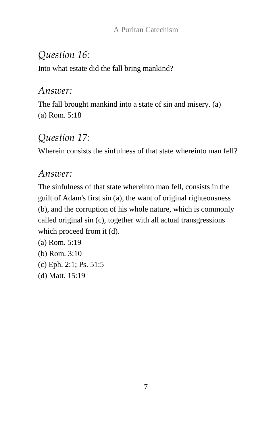# *Question 16:*

Into what estate did the fall bring mankind?

#### *Answer:*

The fall brought mankind into a state of sin and misery. (a) (a) Rom. 5:18

# *Question 17:*

Wherein consists the sinfulness of that state whereinto man fell?

## *Answer:*

The sinfulness of that state whereinto man fell, consists in the guilt of Adam's first sin (a), the want of original righteousness (b), and the corruption of his whole nature, which is commonly called original sin (c), together with all actual transgressions which proceed from it (d).

(a) Rom. 5:19 (b) Rom. 3:10 (c) Eph. 2:1; Ps. 51:5 (d) Matt. 15:19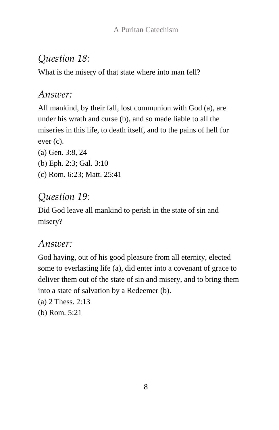# *Question 18:*

What is the misery of that state where into man fell?

## *Answer:*

All mankind, by their fall, lost communion with God (a), are under his wrath and curse (b), and so made liable to all the miseries in this life, to death itself, and to the pains of hell for ever (c).

- (a) Gen. 3:8, 24
- (b) Eph. 2:3; Gal. 3:10
- (c) Rom. 6:23; Matt. 25:41

# *Question 19:*

Did God leave all mankind to perish in the state of sin and misery?

# *Answer:*

God having, out of his good pleasure from all eternity, elected some to everlasting life (a), did enter into a covenant of grace to deliver them out of the state of sin and misery, and to bring them into a state of salvation by a Redeemer (b).

- (a) 2 Thess. 2:13
- (b) Rom. 5:21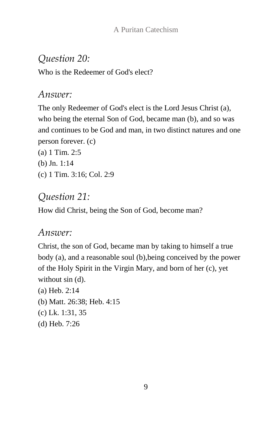## *Question 20:*

Who is the Redeemer of God's elect?

#### *Answer:*

The only Redeemer of God's elect is the Lord Jesus Christ (a), who being the eternal Son of God, became man (b), and so was and continues to be God and man, in two distinct natures and one person forever. (c)

(a) 1 Tim. 2:5 (b) Jn. 1:14 (c) 1 Tim. 3:16; Col. 2:9

#### *Question 21:*

How did Christ, being the Son of God, become man?

#### *Answer:*

Christ, the son of God, became man by taking to himself a true body (a), and a reasonable soul (b),being conceived by the power of the Holy Spirit in the Virgin Mary, and born of her (c), yet without sin (d).

(a) Heb. 2:14 (b) Matt. 26:38; Heb. 4:15 (c) Lk. 1:31, 35 (d) Heb. 7:26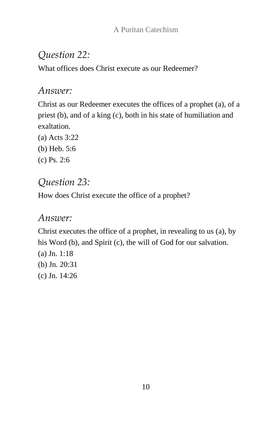# *Question 22:*

What offices does Christ execute as our Redeemer?

#### *Answer:*

Christ as our Redeemer executes the offices of a prophet (a), of a priest (b), and of a king (c), both in his state of humiliation and exaltation.

- (a) Acts 3:22
- (b) Heb. 5:6
- (c) Ps. 2:6

# *Question 23:*

How does Christ execute the office of a prophet?

## *Answer:*

Christ executes the office of a prophet, in revealing to us (a), by his Word (b), and Spirit (c), the will of God for our salvation.

(a) Jn. 1:18 (b) Jn. 20:31 (c) Jn. 14:26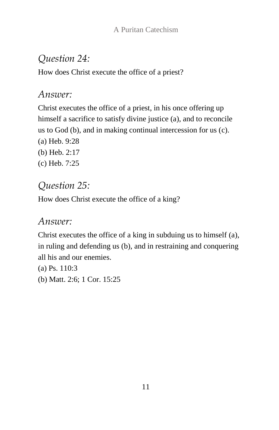# *Question 24:*

How does Christ execute the office of a priest?

## *Answer:*

Christ executes the office of a priest, in his once offering up himself a sacrifice to satisfy divine justice (a), and to reconcile us to God (b), and in making continual intercession for us (c). (a) Heb. 9:28 (b) Heb. 2:17 (c) Heb. 7:25

# *Question 25:*

How does Christ execute the office of a king?

# *Answer:*

Christ executes the office of a king in subduing us to himself (a), in ruling and defending us (b), and in restraining and conquering all his and our enemies.

(a) Ps. 110:3 (b) Matt. 2:6; 1 Cor. 15:25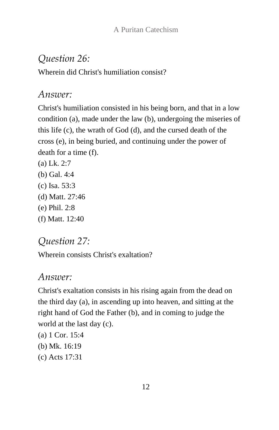### *Question 26:*

Wherein did Christ's humiliation consist?

#### *Answer:*

Christ's humiliation consisted in his being born, and that in a low condition (a), made under the law (b), undergoing the miseries of this life (c), the wrath of God (d), and the cursed death of the cross (e), in being buried, and continuing under the power of death for a time (f).

(a) Lk. 2:7 (b) Gal. 4:4 (c) Isa. 53:3 (d) Matt. 27:46 (e) Phil. 2:8 (f) Matt. 12:40

## *Question 27:*

Wherein consists Christ's exaltation?

#### *Answer:*

Christ's exaltation consists in his rising again from the dead on the third day (a), in ascending up into heaven, and sitting at the right hand of God the Father (b), and in coming to judge the world at the last day (c).

- (a) 1 Cor. 15:4
- (b) Mk. 16:19
- (c) Acts 17:31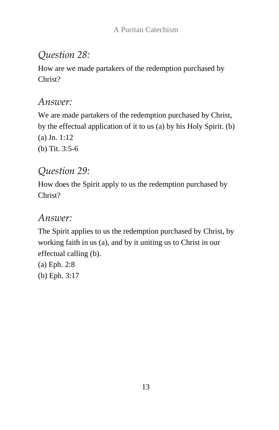# *Question 28:*

How are we made partakers of the redemption purchased by Christ?

## *Answer:*

We are made partakers of the redemption purchased by Christ, by the effectual application of it to us (a) by his Holy Spirit. (b) (a) Jn. 1:12 (b) Tit. 3:5-6

# *Question 29:*

How does the Spirit apply to us the redemption purchased by Christ?

## *Answer:*

The Spirit applies to us the redemption purchased by Christ, by working faith in us (a), and by it uniting us to Christ in our effectual calling (b).

(a) Eph. 2:8 (b) Eph. 3:17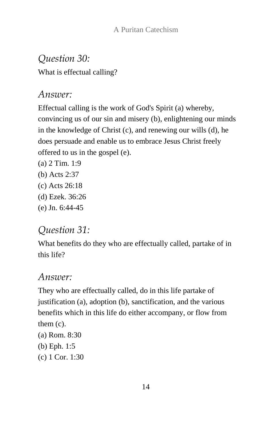*Question 30:*

What is effectual calling?

#### *Answer:*

Effectual calling is the work of God's Spirit (a) whereby, convincing us of our sin and misery (b), enlightening our minds in the knowledge of Christ (c), and renewing our wills (d), he does persuade and enable us to embrace Jesus Christ freely offered to us in the gospel (e).

- (a) 2 Tim. 1:9
- (b) Acts 2:37
- (c) Acts 26:18
- (d) Ezek. 36:26
- (e) Jn. 6:44-45

# *Question 31:*

What benefits do they who are effectually called, partake of in this life?

# *Answer:*

They who are effectually called, do in this life partake of justification (a), adoption (b), sanctification, and the various benefits which in this life do either accompany, or flow from them (c).

- (a) Rom. 8:30
- (b) Eph. 1:5
- (c) 1 Cor. 1:30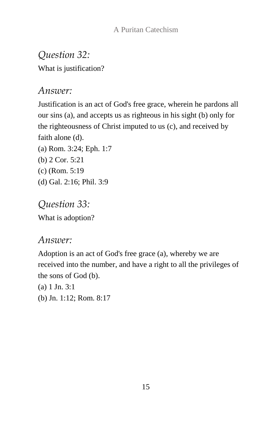# *Question 32:*

What is justification?

## *Answer:*

Justification is an act of God's free grace, wherein he pardons all our sins (a), and accepts us as righteous in his sight (b) only for the righteousness of Christ imputed to us (c), and received by faith alone (d). (a) Rom. 3:24; Eph. 1:7 (b) 2 Cor. 5:21

- (c) (Rom. 5:19
- (d) Gal. 2:16; Phil. 3:9

*Question 33:* What is adoption?

## *Answer:*

Adoption is an act of God's free grace (a), whereby we are received into the number, and have a right to all the privileges of the sons of God (b).

- (a) 1 Jn. 3:1
- (b) Jn. 1:12; Rom. 8:17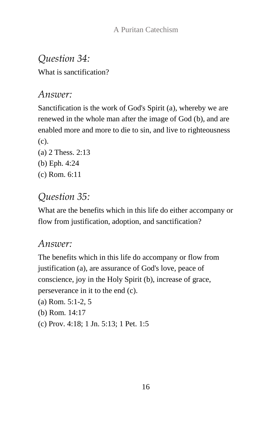# *Question 34:*

What is sanctification?

# *Answer:*

Sanctification is the work of God's Spirit (a), whereby we are renewed in the whole man after the image of God (b), and are enabled more and more to die to sin, and live to righteousness (c).

- (a) 2 Thess. 2:13 (b) Eph. 4:24
- (c) Rom. 6:11

# *Question 35:*

What are the benefits which in this life do either accompany or flow from justification, adoption, and sanctification?

# *Answer:*

The benefits which in this life do accompany or flow from justification (a), are assurance of God's love, peace of conscience, joy in the Holy Spirit (b), increase of grace, perseverance in it to the end (c).

- (a) Rom. 5:1-2, 5
- (b) Rom. 14:17
- (c) Prov. 4:18; 1 Jn. 5:13; 1 Pet. 1:5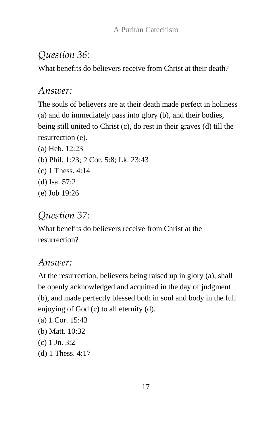# *Question 36:*

What benefits do believers receive from Christ at their death?

## *Answer:*

The souls of believers are at their death made perfect in holiness (a) and do immediately pass into glory (b), and their bodies, being still united to Christ (c), do rest in their graves (d) till the resurrection (e).

(a) Heb. 12:23 (b) Phil. 1:23; 2 Cor. 5:8; Lk. 23:43 (c) 1 Thess. 4:14 (d) Isa. 57:2 (e) Job 19:26

# *Question 37:*

What benefits do believers receive from Christ at the resurrection?

## *Answer:*

At the resurrection, believers being raised up in glory (a), shall be openly acknowledged and acquitted in the day of judgment (b), and made perfectly blessed both in soul and body in the full enjoying of God (c) to all eternity (d).

- (a) 1 Cor. 15:43
- (b) Matt. 10:32
- (c) 1 Jn. 3:2
- (d) 1 Thess. 4:17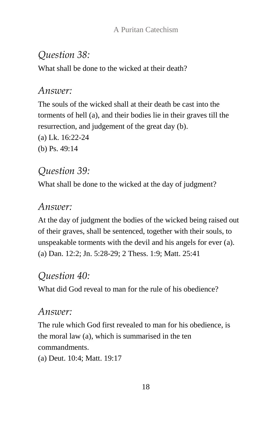## *Question 38:*

What shall be done to the wicked at their death?

#### *Answer:*

The souls of the wicked shall at their death be cast into the torments of hell (a), and their bodies lie in their graves till the resurrection, and judgement of the great day (b).

(a) Lk. 16:22-24

(b) Ps. 49:14

## *Question 39:*

What shall be done to the wicked at the day of judgment?

#### *Answer:*

At the day of judgment the bodies of the wicked being raised out of their graves, shall be sentenced, together with their souls, to unspeakable torments with the devil and his angels for ever (a). (a) Dan. 12:2; Jn. 5:28-29; 2 Thess. 1:9; Matt. 25:41

# *Question 40:*

What did God reveal to man for the rule of his obedience?

# *Answer:*

The rule which God first revealed to man for his obedience, is the moral law (a), which is summarised in the ten commandments.

(a) Deut. 10:4; Matt. 19:17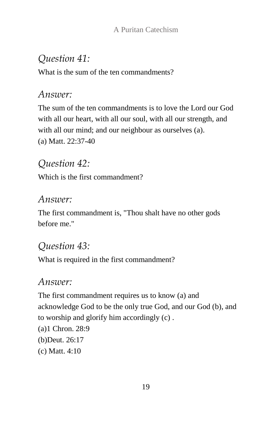# *Question 41:*

What is the sum of the ten commandments?

## *Answer:*

The sum of the ten commandments is to love the Lord our God with all our heart, with all our soul, with all our strength, and with all our mind; and our neighbour as ourselves (a). (a) Matt. 22:37-40

# *Question 42:*

Which is the first commandment?

## *Answer:*

The first commandment is, "Thou shalt have no other gods before me."

# *Question 43:*

What is required in the first commandment?

## *Answer:*

The first commandment requires us to know (a) and acknowledge God to be the only true God, and our God (b), and to worship and glorify him accordingly (c) .

- (a)1 Chron. 28:9 (b)Deut. 26:17
- (c) Matt. 4:10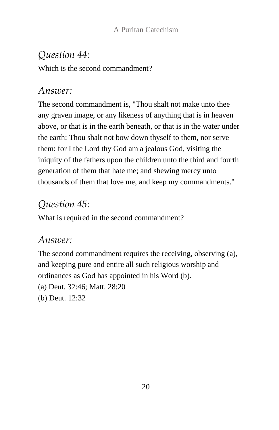# *Question 44:*

Which is the second commandment?

#### *Answer:*

The second commandment is, "Thou shalt not make unto thee any graven image, or any likeness of anything that is in heaven above, or that is in the earth beneath, or that is in the water under the earth: Thou shalt not bow down thyself to them, nor serve them: for I the Lord thy God am a jealous God, visiting the iniquity of the fathers upon the children unto the third and fourth generation of them that hate me; and shewing mercy unto thousands of them that love me, and keep my commandments."

# *Question 45:*

What is required in the second commandment?

# *Answer:*

The second commandment requires the receiving, observing (a), and keeping pure and entire all such religious worship and ordinances as God has appointed in his Word (b). (a) Deut. 32:46; Matt. 28:20 (b) Deut. 12:32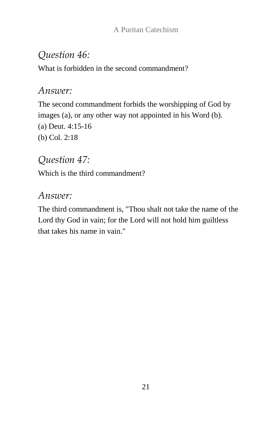# *Question 46:*

What is forbidden in the second commandment?

## *Answer:*

The second commandment forbids the worshipping of God by images (a), or any other way not appointed in his Word (b). (a) Deut. 4:15-16 (b) Col. 2:18

# *Question 47:*

Which is the third commandment?

# *Answer:*

The third commandment is, "Thou shalt not take the name of the Lord thy God in vain; for the Lord will not hold him guiltless that takes his name in vain."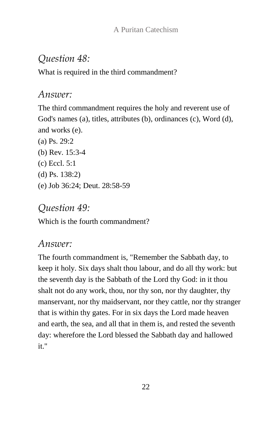# *Question 48:*

What is required in the third commandment?

## *Answer:*

The third commandment requires the holy and reverent use of God's names (a), titles, attributes (b), ordinances (c), Word (d), and works (e).

(a) Ps. 29:2 (b) Rev. 15:3-4 (c) Eccl. 5:1 (d) Ps. 138:2) (e) Job 36:24; Deut. 28:58-59

# *Question 49:*

Which is the fourth commandment?

# *Answer:*

The fourth commandment is, "Remember the Sabbath day, to keep it holy. Six days shalt thou labour, and do all thy work: but the seventh day is the Sabbath of the Lord thy God: in it thou shalt not do any work, thou, nor thy son, nor thy daughter, thy manservant, nor thy maidservant, nor they cattle, nor thy stranger that is within thy gates. For in six days the Lord made heaven and earth, the sea, and all that in them is, and rested the seventh day: wherefore the Lord blessed the Sabbath day and hallowed it."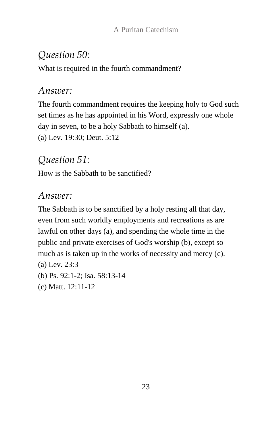# *Question 50:*

What is required in the fourth commandment?

#### *Answer:*

The fourth commandment requires the keeping holy to God such set times as he has appointed in his Word, expressly one whole day in seven, to be a holy Sabbath to himself (a). (a) Lev. 19:30; Deut. 5:12

## *Question 51:*

How is the Sabbath to be sanctified?

## *Answer:*

The Sabbath is to be sanctified by a holy resting all that day, even from such worldly employments and recreations as are lawful on other days (a), and spending the whole time in the public and private exercises of God's worship (b), except so much as is taken up in the works of necessity and mercy (c). (a) Lev. 23:3

- (b) Ps. 92:1-2; Isa. 58:13-14
- (c) Matt. 12:11-12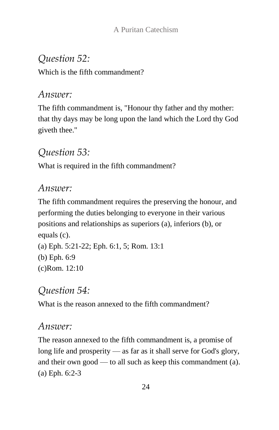# *Question 52:*

Which is the fifth commandment?

## *Answer:*

The fifth commandment is, "Honour thy father and thy mother: that thy days may be long upon the land which the Lord thy God giveth thee."

# *Question 53:*

What is required in the fifth commandment?

# *Answer:*

The fifth commandment requires the preserving the honour, and performing the duties belonging to everyone in their various positions and relationships as superiors (a), inferiors (b), or equals (c).

```
(a) Eph. 5:21-22; Eph. 6:1, 5; Rom. 13:1
(b) Eph. 6:9
(c)Rom. 12:10
```
# *Question 54:*

What is the reason annexed to the fifth commandment?

# *Answer:*

The reason annexed to the fifth commandment is, a promise of long life and prosperity — as far as it shall serve for God's glory, and their own good — to all such as keep this commandment (a). (a) Eph. 6:2-3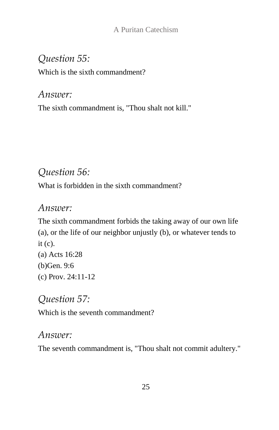# *Question 55:*

Which is the sixth commandment?

*Answer:* The sixth commandment is, "Thou shalt not kill."

# *Question 56:*

What is forbidden in the sixth commandment?

## *Answer:*

The sixth commandment forbids the taking away of our own life (a), or the life of our neighbor unjustly (b), or whatever tends to it (c). (a) Acts 16:28

(b)Gen. 9:6 (c) Prov. 24:11-12

*Question 57:* Which is the seventh commandment?

# *Answer:*

The seventh commandment is, "Thou shalt not commit adultery."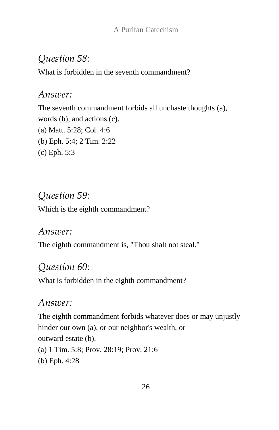## *Question 58:*

What is forbidden in the seventh commandment?

#### *Answer:*

The seventh commandment forbids all unchaste thoughts (a), words (b), and actions (c). (a) Matt. 5:28; Col. 4:6 (b) Eph. 5:4; 2 Tim. 2:22 (c) Eph. 5:3

## *Question 59:*

Which is the eighth commandment?

#### *Answer:*

The eighth commandment is, "Thou shalt not steal."

#### *Question 60:*

What is forbidden in the eighth commandment?

#### *Answer:*

The eighth commandment forbids whatever does or may unjustly hinder our own (a), or our neighbor's wealth, or outward estate (b). (a) 1 Tim. 5:8; Prov. 28:19; Prov. 21:6 (b) Eph. 4:28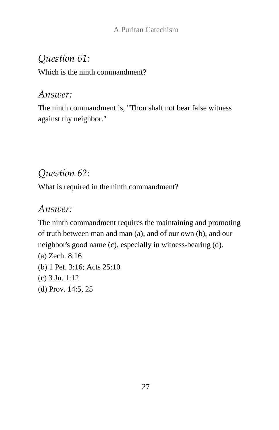# *Question 61:*

Which is the ninth commandment?

#### *Answer:*

The ninth commandment is, "Thou shalt not bear false witness against thy neighbor."

# *Question 62:*

What is required in the ninth commandment?

## *Answer:*

The ninth commandment requires the maintaining and promoting of truth between man and man (a), and of our own (b), and our neighbor's good name (c), especially in witness-bearing (d).

- (a) Zech. 8:16 (b) 1 Pet. 3:16; Acts 25:10 (c) 3 Jn. 1:12
- (d) Prov. 14:5, 25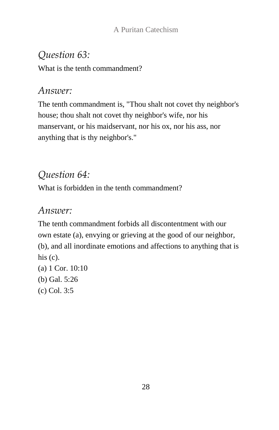# *Question 63:*

What is the tenth commandment?

## *Answer:*

The tenth commandment is, "Thou shalt not covet thy neighbor's house; thou shalt not covet thy neighbor's wife, nor his manservant, or his maidservant, nor his ox, nor his ass, nor anything that is thy neighbor's."

# *Question 64:*

What is forbidden in the tenth commandment?

# *Answer:*

The tenth commandment forbids all discontentment with our own estate (a), envying or grieving at the good of our neighbor, (b), and all inordinate emotions and affections to anything that is his  $(c)$ .

(a) 1 Cor. 10:10 (b) Gal. 5:26 (c) Col. 3:5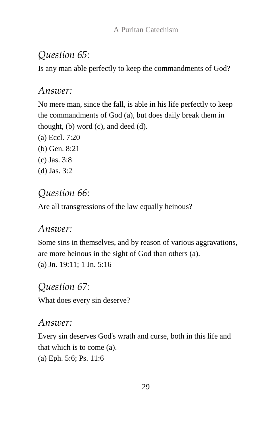# *Question 65:*

Is any man able perfectly to keep the commandments of God?

## *Answer:*

No mere man, since the fall, is able in his life perfectly to keep the commandments of God (a), but does daily break them in thought, (b) word (c), and deed (d).

- (a) Eccl. 7:20
- (b) Gen. 8:21
- (c) Jas. 3:8
- (d) Jas. 3:2

# *Question 66:*

Are all transgressions of the law equally heinous?

# *Answer:*

Some sins in themselves, and by reason of various aggravations, are more heinous in the sight of God than others (a). (a) Jn. 19:11; 1 Jn. 5:16

# *Question 67:*

What does every sin deserve?

# *Answer:*

Every sin deserves God's wrath and curse, both in this life and that which is to come (a). (a) Eph. 5:6; Ps. 11:6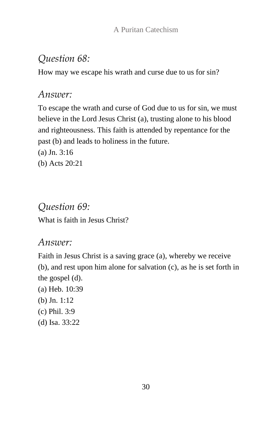## *Question 68:*

How may we escape his wrath and curse due to us for sin?

## *Answer:*

To escape the wrath and curse of God due to us for sin, we must believe in the Lord Jesus Christ (a), trusting alone to his blood and righteousness. This faith is attended by repentance for the past (b) and leads to holiness in the future.

(a) Jn. 3:16 (b) Acts 20:21

*Question 69:* What is faith in Jesus Christ?

#### *Answer:*

Faith in Jesus Christ is a saving grace (a), whereby we receive (b), and rest upon him alone for salvation (c), as he is set forth in the gospel (d).

(a) Heb. 10:39 (b) Jn. 1:12 (c) Phil. 3:9 (d) Isa. 33:22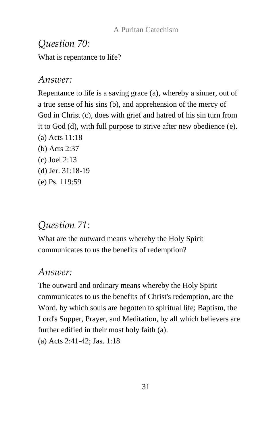# *Question 70:* What is repentance to life?

## *Answer:*

Repentance to life is a saving grace (a), whereby a sinner, out of a true sense of his sins (b), and apprehension of the mercy of God in Christ (c), does with grief and hatred of his sin turn from it to God (d), with full purpose to strive after new obedience (e). (a) Acts 11:18 (b) Acts 2:37 (c) Joel 2:13 (d) Jer. 31:18-19 (e) Ps. 119:59

# *Question 71:*

What are the outward means whereby the Holy Spirit communicates to us the benefits of redemption?

## *Answer:*

The outward and ordinary means whereby the Holy Spirit communicates to us the benefits of Christ's redemption, are the Word, by which souls are begotten to spiritual life; Baptism, the Lord's Supper, Prayer, and Meditation, by all which believers are further edified in their most holy faith (a). (a) Acts 2:41-42; Jas. 1:18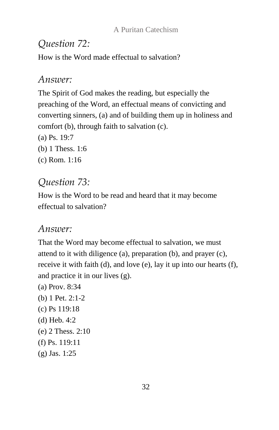# *Question 72:*

How is the Word made effectual to salvation?

## *Answer:*

The Spirit of God makes the reading, but especially the preaching of the Word, an effectual means of convicting and converting sinners, (a) and of building them up in holiness and comfort (b), through faith to salvation (c).

- (a) Ps. 19:7
- (b) 1 Thess. 1:6
- (c) Rom. 1:16

# *Question 73:*

How is the Word to be read and heard that it may become effectual to salvation?

# *Answer:*

That the Word may become effectual to salvation, we must attend to it with diligence (a), preparation (b), and prayer (c), receive it with faith (d), and love (e), lay it up into our hearts (f), and practice it in our lives (g).

- (a) Prov. 8:34 (b) 1 Pet. 2:1-2 (c) Ps 119:18
- (d) Heb. 4:2
- (e) 2 Thess. 2:10
- (f) Ps. 119:11
- (g) Jas. 1:25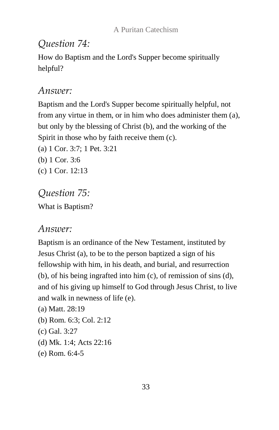## *Question 74:*

How do Baptism and the Lord's Supper become spiritually helpful?

#### *Answer:*

Baptism and the Lord's Supper become spiritually helpful, not from any virtue in them, or in him who does administer them (a), but only by the blessing of Christ (b), and the working of the Spirit in those who by faith receive them (c). (a) 1 Cor. 3:7; 1 Pet. 3:21

- (b) 1 Cor. 3:6
- (c) 1 Cor. 12:13

# *Question 75:* What is Baptism?

# *Answer:*

Baptism is an ordinance of the New Testament, instituted by Jesus Christ (a), to be to the person baptized a sign of his fellowship with him, in his death, and burial, and resurrection (b), of his being ingrafted into him (c), of remission of sins (d), and of his giving up himself to God through Jesus Christ, to live and walk in newness of life (e).

- (a) Matt. 28:19
- (b) Rom. 6:3; Col. 2:12
- (c) Gal. 3:27
- (d) Mk. 1:4; Acts 22:16
- (e) Rom. 6:4-5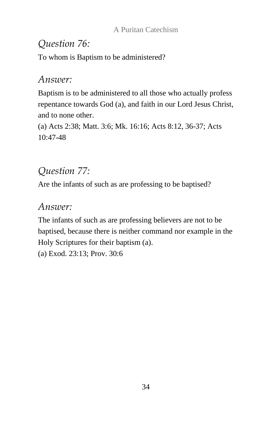## *Question 76:*

To whom is Baptism to be administered?

#### *Answer:*

Baptism is to be administered to all those who actually profess repentance towards God (a), and faith in our Lord Jesus Christ, and to none other.

(a) Acts 2:38; Matt. 3:6; Mk. 16:16; Acts 8:12, 36-37; Acts 10:47-48

# *Question 77:*

Are the infants of such as are professing to be baptised?

## *Answer:*

The infants of such as are professing believers are not to be baptised, because there is neither command nor example in the Holy Scriptures for their baptism (a).

(a) Exod. 23:13; Prov. 30:6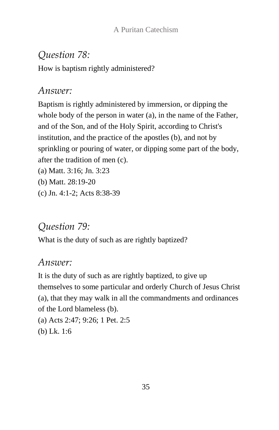# *Question 78:*

How is baptism rightly administered?

#### *Answer:*

Baptism is rightly administered by immersion, or dipping the whole body of the person in water (a), in the name of the Father, and of the Son, and of the Holy Spirit, according to Christ's institution, and the practice of the apostles (b), and not by sprinkling or pouring of water, or dipping some part of the body, after the tradition of men (c).

- (a) Matt. 3:16; Jn. 3:23
- (b) Matt. 28:19-20
- (c) Jn. 4:1-2; Acts 8:38-39

# *Question 79:*

What is the duty of such as are rightly baptized?

## *Answer:*

It is the duty of such as are rightly baptized, to give up themselves to some particular and orderly Church of Jesus Christ (a), that they may walk in all the commandments and ordinances of the Lord blameless (b).

(a) Acts 2:47; 9:26; 1 Pet. 2:5 (b) Lk. 1:6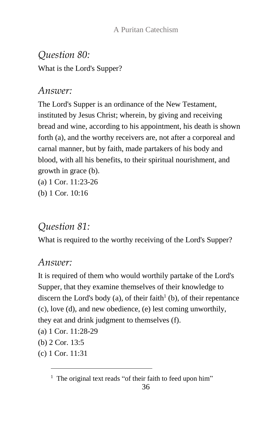*Question 80:* What is the Lord's Supper?

#### *Answer:*

The Lord's Supper is an ordinance of the New Testament, instituted by Jesus Christ; wherein, by giving and receiving bread and wine, according to his appointment, his death is shown forth (a), and the worthy receivers are, not after a corporeal and carnal manner, but by faith, made partakers of his body and blood, with all his benefits, to their spiritual nourishment, and growth in grace (b).

- (a) 1 Cor. 11:23-26
- (b) 1 Cor. 10:16

## *Question 81:*

What is required to the worthy receiving of the Lord's Supper?

#### *Answer:*

It is required of them who would worthily partake of the Lord's Supper, that they examine themselves of their knowledge to discern the Lord's body (a), of their faith $\mathbf{h}^1$  (b), of their repentance (c), love (d), and new obedience, (e) lest coming unworthily, they eat and drink judgment to themselves (f).

- (a) 1 Cor. 11:28-29
- (b) 2 Cor. 13:5
- (c) 1 Cor. 11:31

l

<sup>&</sup>lt;sup>1</sup> The original text reads "of their faith to feed upon him"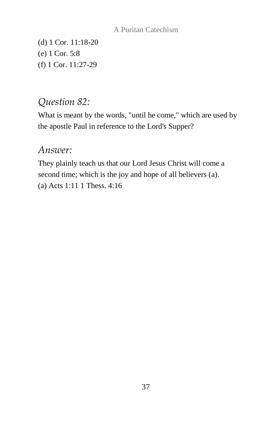(d) 1 Cor. 11:18-20 (e) 1 Cor. 5:8 (f) 1 Cor. 11:27-29

#### *Question 82:*

What is meant by the words, "until he come," which are used by the apostle Paul in reference to the Lord's Supper?

#### *Answer:*

They plainly teach us that our Lord Jesus Christ will come a second time; which is the joy and hope of all believers (a). (a) Acts 1:11 1 Thess. 4:16